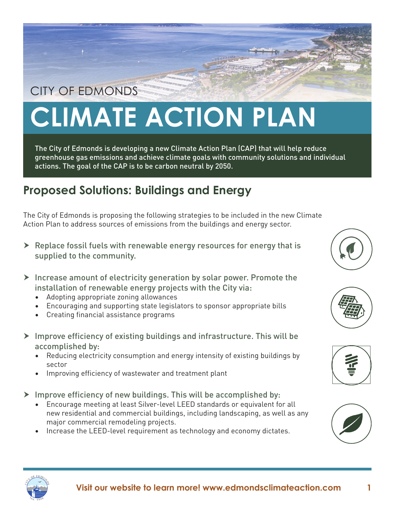## CITY OF EDMONDS

## **CLIMATE ACTION PLAN**

The City of Edmonds is developing a new Climate Action Plan (CAP) that will help reduce greenhouse gas emissions and achieve climate goals with community solutions and individual actions. The goal of the CAP is to be carbon neutral by 2050.

## **Proposed Solutions: Buildings and Energy**

The City of Edmonds is proposing the following strategies to be included in the new Climate Action Plan to address sources of emissions from the buildings and energy sector.

- $\triangleright$  Replace fossil fuels with renewable energy resources for energy that is supplied to the community.
- $\triangleright$  Increase amount of electricity generation by solar power. Promote the installation of renewable energy projects with the City via:
	- Adopting appropriate zoning allowances
	- Encouraging and supporting state legislators to sponsor appropriate bills
	- Creating financial assistance programs
- $\triangleright$  Improve efficiency of existing buildings and infrastructure. This will be accomplished by:
	- Reducing electricity consumption and energy intensity of existing buildings by sector
	- Improving efficiency of wastewater and treatment plant
- $\triangleright$  Improve efficiency of new buildings. This will be accomplished by:
	- Encourage meeting at least Silver-level LEED standards or equivalent for all new residential and commercial buildings, including landscaping, as well as any major commercial remodeling projects.
	- Increase the LEED-level requirement as technology and economy dictates.